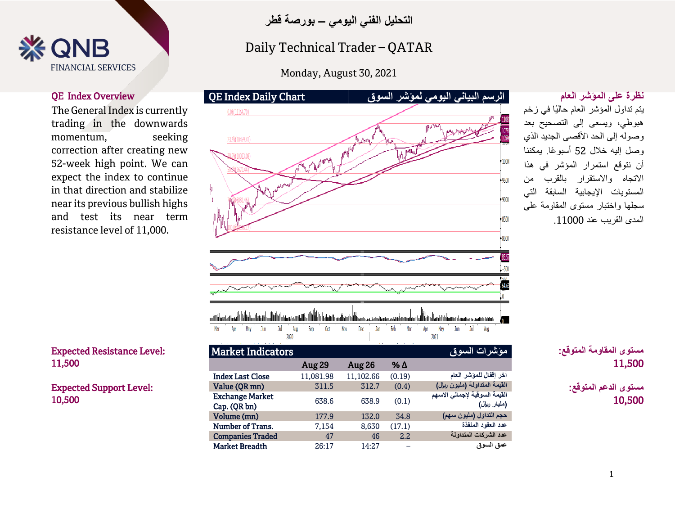

The General Index is currently trading in the downwards momentum, seeking correction after creating new 52-week high point. We can expect the index to continue in that direction and stabilize near its previous bullish highs and test its near term resistance level of 11,000.



Expected Support Level: 10,500



## Technical Spotlight Spotlight<br>Andrew Spotlight Spotlight Daily Technical Trader – QATAR

 $\frac{1}{2}$   $\frac{1}{2}$   $\frac{1}{2}$   $\frac{1}{2}$   $\frac{1}{2}$   $\frac{1}{2}$   $\frac{1}{2}$   $\frac{1}{2}$   $\frac{1}{2}$   $\frac{1}{2}$   $\frac{1}{2}$   $\frac{1}{2}$   $\frac{1}{2}$   $\frac{1}{2}$   $\frac{1}{2}$   $\frac{1}{2}$   $\frac{1}{2}$   $\frac{1}{2}$   $\frac{1}{2}$   $\frac{1}{2}$   $\frac{1}{2}$   $\frac{1}{2}$  Monday, August 30, 2021



### يتم تداول المؤشر العام حاليًا في زخم هبوطي، ويسعى إلى التصحيح بعد وصوله إلى الحد الأقصى الجديد الذي وصل إليه خالل 52 أسبو ًعا. يمكننا أن نتوقع استمرار المؤشر في هذا االتجاه واالستقرار بالقرب من المستويات اإليجابية السابقة التي سجلها واختبار مستوى المقاومة على المدى القريب عند .11000

 **مستوى المقاومة المتوقع:** 11,500

**مستوى الدعم المتوقع:** 10,500

| <b>Market Indicators</b>               |           |           |        | مؤشرات السوق                                  |
|----------------------------------------|-----------|-----------|--------|-----------------------------------------------|
|                                        | Aug 29    | Aug 26    | % Δ    |                                               |
| <b>Index Last Close</b>                | 11,081.98 | 11,102.66 | (0.19) | آخر إقفال للمؤشر العام                        |
| Value (QR mn)                          | 311.5     | 312.7     | (0.4)  | القيمة المتداولة (مليون ريإل)                 |
| <b>Exchange Market</b><br>Cap. (QR bn) | 638.6     | 638.9     | (0.1)  | القيمة السوقية لإجمالي الاسهم<br>(مليار ريال) |
| Volume (mn)                            | 177.9     | 132.0     | 34.8   | حجم التداول (مليون سهم)                       |
| Number of Trans.                       | 7,154     | 8,630     | (17.1) | عدد العقود المنفذة                            |
| <b>Companies Traded</b>                | 47        | 46        | 2.2    | عدد الشركات المتداولة                         |
| <b>Market Breadth</b>                  | 26:17     | 14:27     |        | عمق السوق                                     |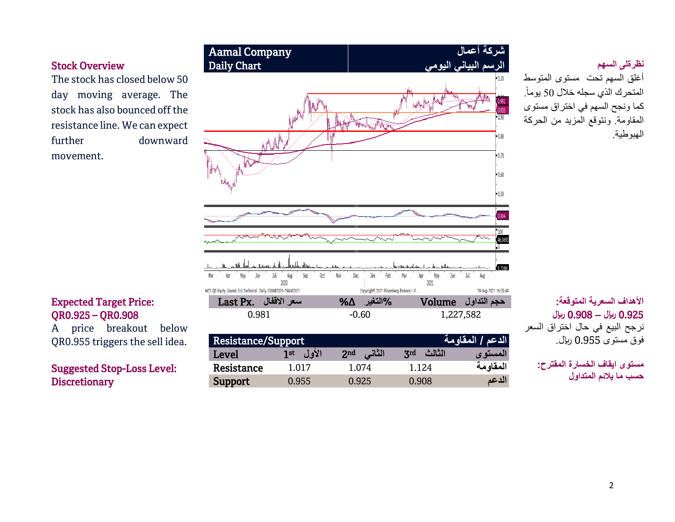أغلق السهم تحت مستوى المتوسط المتحرك الذي سجله خلال 50 يوماً. كما ونجح السهم في اختراق مستوى المقاومة. ونتوقع المزيد من الحركة الهبوطية.

# **األهداف السعرية المتوقعة:** 0.925 **لاير –** 0.908 **لاير**

نرجح البيع في حال اختراق السعر فوق مستوى 0.955 لاير.

> **مستوى ايقاف الخسارة المقترح: حسب ما يالئم المتداول**

The stock has closed below 50 day moving average. The stock has also bounced off the resistance line. We can expect further downward movement.



### Expected Target Price: QR0.925 – QR0.908

A price breakout below QR0.955 triggers the sell idea.

Suggested Stop-Loss Level: **Discretionary**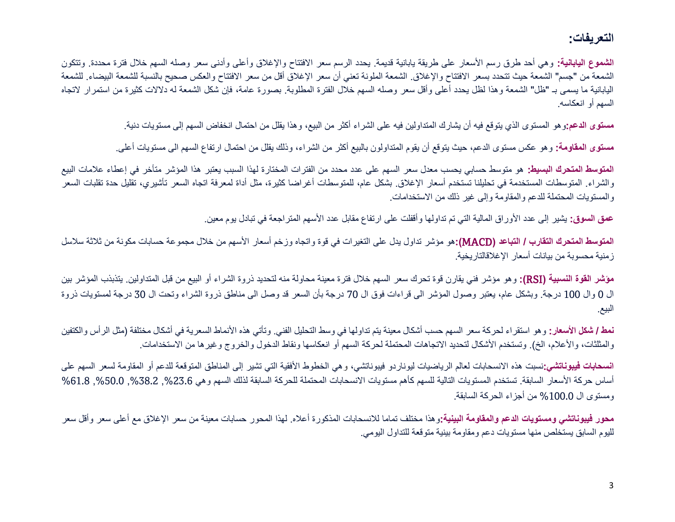### **التعريفات:**

**الشموع اليابانية:** وهي أحد طرق رسم الأسعار على طريقة يابانية قديمة<sub>.</sub> يحدد الرسم سعر الافتتاح والإغلاق وأعلى وأدنى سعر وصله السهم خلال فترة محددة. وتتكون الشمعة من "جسم" الشمعة حيث تتحدد بسعر الافتتاح والإغلاق. الشمعة الملونة تعني أن سعر الإلغان القال الافتتاح والعكس صحيح بالنسبة للشمعة البيضاء. للشمعة اليابانية ما يسمى بـ "ظل" الشمعة وهذا لظل يحدد أعلى وأقل سعر وصله السهم خلال الفترة المطلوبة. بصورة عامة، فإن شكل الشمعة له دلالات كثيرة من استمرار لاتجاه السهم أو انعكاسه.

**مستوى الدعم:**وهو المستوى الذي يتوقع فيه أن يشارك المتداولين فيه على الشراء أكثر من البيع، وهذا يقلل من احتمال انخفاض السهم إلى مستويات دنية.

**مستوى المقاومة:** وهو عكس مستوى الدعم، حيث يتوقع أن يقوم المتداولون بالبيع أكثر من الشراء، وذلك يقلل من احتمال ارتفاع السهم الى مستويات أعلى.

**المتوسط المتحرك البسيط:** هو متوسط حسابي يحسب معدل سعر السهم على عدد محدد من الفترات المختارة لهذا السبب يعتبر هذا المؤشر متأخر في إعطاء عالمات البيع والشراء. المتوسطات المستخدمة في تحليلنا تستخدم أسعار الإغلاق. بشكل عام، للمتوسطات أغراضا كثيرة، مثل أداة لمعرفة اتجاه السعر تأشيري، تقليل حدة تقلبات السعر والمستويات المحتملة للدعم والمقاومة وإلى غير ذلك من االستخدامات.

**عمق السوق:** يشير إلى عدد األوراق المالية التي تم تداولها وأقفلت على ارتفاع مقابل عدد األسهم المتراجعة في تبادل يوم معين.

**المتوسط المتحرك التقارب / التباعد )**MACD**):**هو مؤشر تداول يدل على التغيرات في قوة واتجاه وزخم أسعار األسهم من خالل مجموعة حسابات مكونة من ثالثة سالسل زمنية محسوبة من بيانات أسعار اإلغالقالتاريخية.

**مؤشر القوة النسبية )**RSI**):** وهو مؤشر فني يقارن قوة تحرك سعر السهم خالل فترة معينة محاولة منه لتحديد ذروة الشراء أو البيع من قبل المتداولين. يتذبذب المؤشر بين ال 0 وال 100 درجة. وبشكل عام، يعتبر وصول المؤشر الى قراءات فوق ال 70 درجة بأن السعر قد وصل الى مناطق ذروة الشراء وتحت ال 30 درجة لمستويات ذروة البيع.

**نمط / شكل الأسعار:** و هو استقراء لحركة سعر السهم حسب أشكال معينة يتم تداولها في وسط التحليل الفني. وتأتي هذه الأنماط السعرية في أشكال مختلفة (مثل الرأس والكتفين والمثلثات، والأعلام، الخ). وتستخدم الأشكال لتحديد الاتجاهات المحتملة لحركة السهم أو انعكاسها ونقاط الدخول والخروج وغيرها من الاستخدامات.

ا**نسحابات فيبوناتشي:**نسبت هذه الانسحابات لعالم الرياضيات ليوناردو فيبوناتشي، وهي الخطوط الأفقية التي تشير إلى المناطق المتوقعة للدعم أو المقاومة لسعر السهم على أساس حركة الأسعار السابقة. تستخدم المستويات التالية للسهم كأهم مستويات الانسحابات المحتملة للحركة السابقة لذلك السهم وهي 23.6%, 50.0%, 61.8%, 61.8% ,%50.0 ومستوى ال %100.0 من أجزاء الحركة السابقة.

**محور فيبوناتشي ومستويات الدعم والمقاومة البينية:**وهذا مختلف تماما لالنسحابات المذكورة أعاله. لهذا المحور حسابات معينة من سعر اإلغالق مع أعلى سعر وأقل سعر لليوم السابق يستخلص منها مستويات دعم ومقاومة بينية متوقعة للتداول اليومي.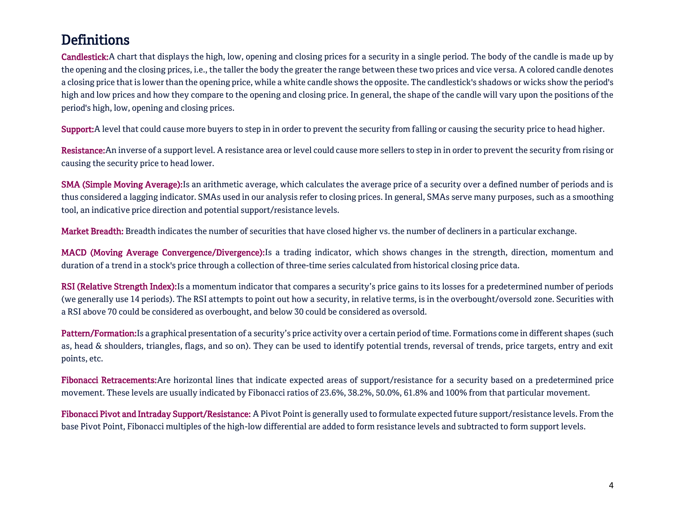# **Definitions**

Candlestick:A chart that displays the high, low, opening and closing prices for a security in a single period. The body of the candle is made up by the opening and the closing prices, i.e., the taller the body the greater the range between these two prices and vice versa. A colored candle denotes a closing price that is lower than the opening price, while a white candle shows the opposite. The candlestick's shadows or wicks show the period's high and low prices and how they compare to the opening and closing price. In general, the shape of the candle will vary upon the positions of the period's high, low, opening and closing prices.

Support: A level that could cause more buyers to step in in order to prevent the security from falling or causing the security price to head higher.

Resistance: An inverse of a support level. A resistance area or level could cause more sellers to step in in order to prevent the security from rising or causing the security price to head lower.

SMA (Simple Moving Average): Is an arithmetic average, which calculates the average price of a security over a defined number of periods and is thus considered a lagging indicator. SMAs used in our analysis refer to closing prices. In general, SMAs serve many purposes, such as a smoothing tool, an indicative price direction and potential support/resistance levels.

Market Breadth: Breadth indicates the number of securities that have closed higher vs. the number of decliners in a particular exchange.

MACD (Moving Average Convergence/Divergence):Is a trading indicator, which shows changes in the strength, direction, momentum and duration of a trend in a stock's price through a collection of three-time series calculated from historical closing price data.

RSI (Relative Strength Index): Is a momentum indicator that compares a security's price gains to its losses for a predetermined number of periods (we generally use 14 periods). The RSI attempts to point out how a security, in relative terms, is in the overbought/oversold zone. Securities with a RSI above 70 could be considered as overbought, and below 30 could be considered as oversold.

Pattern/Formation:Is a graphical presentation of a security's price activity over a certain period of time. Formations come in different shapes (such as, head & shoulders, triangles, flags, and so on). They can be used to identify potential trends, reversal of trends, price targets, entry and exit points, etc.

Fibonacci Retracements: Are horizontal lines that indicate expected areas of support/resistance for a security based on a predetermined price movement. These levels are usually indicated by Fibonacci ratios of 23.6%, 38.2%, 50.0%, 61.8% and 100% from that particular movement.

Fibonacci Pivot and Intraday Support/Resistance: A Pivot Point is generally used to formulate expected future support/resistance levels. From the base Pivot Point, Fibonacci multiples of the high-low differential are added to form resistance levels and subtracted to form support levels.